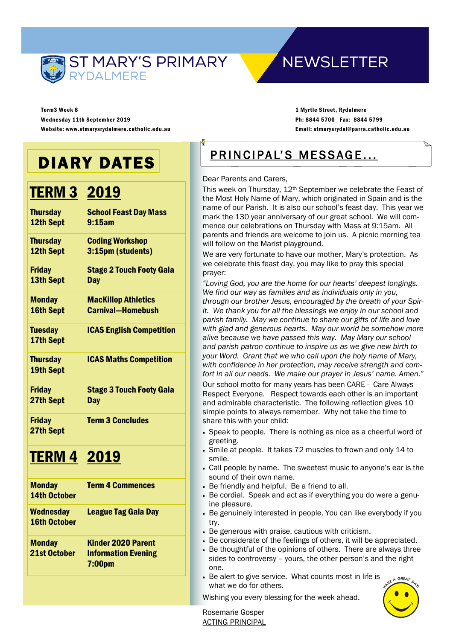

# **NEWSLETTER**

Term3 Week 8 Wednesday 11th September 2019 Website: www.stmarysrydalmere.catholic.edu.au

1 Myrtle Street, Rydalmere Ph: 8844 5700 Fax: 8844 5799 Email: stmarysrydal@parra.catholic.edu.au

# DIARY DATES

# **TERM 3 2019**

| <b>Thursday</b>                     | <b>School Feast Day Mass</b>    |
|-------------------------------------|---------------------------------|
| 12th Sept                           | 9:15am                          |
| <b>Thursday</b>                     | <b>Coding Workshop</b>          |
| 12th Sept                           | 3:15pm (students)               |
| Friday                              | <b>Stage 2 Touch Footy Gala</b> |
| 13th Sept                           | Day                             |
| <b>Monday</b>                       | <b>MacKillop Athletics</b>      |
| 16th Sept                           | <b>Carnival-Homebush</b>        |
| <b>Tuesday</b><br>17th Sept         | <b>ICAS English Competition</b> |
| <b>Thursday</b><br><b>19th Sept</b> | <b>ICAS Maths Competition</b>   |
| <b>Friday</b>                       | <b>Stage 3 Touch Footy Gala</b> |
| 27th Sept                           | <b>Day</b>                      |
| <b>Friday</b><br>27th Sept          | <b>Term 3 Concludes</b>         |
|                                     |                                 |

# TERM 4 2019

| <b>Monday</b><br><b>14th October</b>    | <b>Term 4 Commences</b>                                                |
|-----------------------------------------|------------------------------------------------------------------------|
| <b>Wednesday</b><br><b>16th October</b> | <b>League Tag Gala Day</b>                                             |
| <b>Monday</b><br>21st October           | Kinder 2020 Parent<br><b>Information Evening</b><br>7:00 <sub>pm</sub> |

# PRINCIPAL'S MESSAGE...

#### Dear Parents and Carers,

This week on Thursday, 12th September we celebrate the Feast of the Most Holy Name of Mary, which originated in Spain and is the name of our Parish. It is also our school's feast day. This year we mark the 130 year anniversary of our great school. We will commence our celebrations on Thursday with Mass at 9:15am. All parents and friends are welcome to join us. A picnic morning tea will follow on the Marist playground.

We are very fortunate to have our mother, Mary's protection. As we celebrate this feast day, you may like to pray this special prayer:

*"Loving God, you are the home for our hearts' deepest longings. We find our way as families and as individuals only in you, through our brother Jesus, encouraged by the breath of your Spirit. We thank you for all the blessings we enjoy in our school and parish family. May we continue to share our gifts of life and love with glad and generous hearts. May our world be somehow more alive because we have passed this way. May Mary our school and parish patron continue to inspire us as we give new birth to your Word. Grant that we who call upon the holy name of Mary, with confidence in her protection, may receive strength and comfort in all our needs. We make our prayer in Jesus' name. Amen."*

Our school motto for many years has been CARE - Care Always Respect Everyone. Respect towards each other is an important and admirable characteristic. The following reflection gives 10 simple points to always remember. Why not take the time to share this with your child:

- Speak to people. There is nothing as nice as a cheerful word of greeting.
- Smile at people. It takes 72 muscles to frown and only 14 to smile.
- Call people by name. The sweetest music to anyone's ear is the sound of their own name.
- Be friendly and helpful. Be a friend to all.
- Be cordial. Speak and act as if everything you do were a genuine pleasure.
- Be genuinely interested in people. You can like everybody if you try.
- Be generous with praise, cautious with criticism.
- Be considerate of the feelings of others, it will be appreciated.
- Be thoughtful of the opinions of others. There are always three sides to controversy – yours, the other person's and the right one.
- Be alert to give service. What counts most in life is what we do for others.

Wishing you every blessing for the week ahead.



Rosemarie Gosper ACTING PRINCIPAL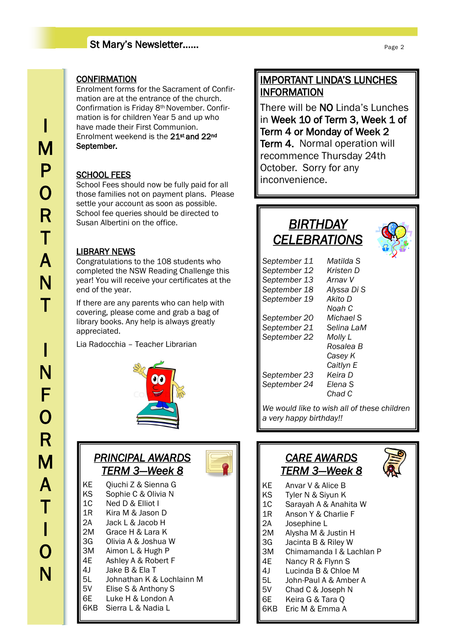## St Mary's Newsletter……

#### **CONFIRMATION**

Enrolment forms for the Sacrament of Confirmation are at the entrance of the church. Confirmation is Friday 8th November. Confirmation is for children Year 5 and up who have made their First Communion. Enrolment weekend is the 21st and 22nd September.

### SCHOOL FEES

School Fees should now be fully paid for all those families not on payment plans. Please settle your account as soon as possible. School fee queries should be directed to Susan Albertini on the office.

## LIBRARY NEWS

Congratulations to the 108 students who completed the NSW Reading Challenge this year! You will receive your certificates at the end of the year.

If there are any parents who can help with covering, please come and grab a bag of library books. Any help is always greatly appreciated.

Lia Radocchia – Teacher Librarian



## *PRINCIPAL AWARDS TERM 3—Week 8*

| KΕ  | Qiuchi Z & Sienna G       |
|-----|---------------------------|
| ΚS  | Sophie C & Olivia N       |
| 1C  | Ned D & Elliot I          |
| 1R  | Kira M & Jason D          |
| 2Α  | Jack L & Jacob H          |
| 2M  | Grace H & Lara K          |
| 3G  | Olivia A & Joshua W       |
| ЗM  | Aimon L & Hugh P          |
| 4E  | Ashley A & Robert F       |
| 4 J | Jake B & Ela T            |
| 5L  | Johnathan K & Lochlainn M |
| 5V  | Elise S & Anthony S       |
| 6Е  | Luke H & London A         |
| 6KB | Sierra L & Nadia L        |
|     |                           |

## IMPORTANT LINDA'S LUNCHES INFORMATION

There will be NO Linda's Lunches in Week 10 of Term 3, Week 1 of Term 4 or Monday of Week 2 Term 4. Normal operation will recommence Thursday 24th October. Sorry for any inconvenience.

## *BIRTHDAY CELEBRATIONS*



| Matilda S                        |
|----------------------------------|
| Kristen D                        |
| Arnav V                          |
| Alyssa Di S                      |
| Akito D                          |
| Noah C                           |
| Michael S                        |
| Selina LaM                       |
| Molly L                          |
| Rosalea B                        |
| Casey K                          |
| Caitlyn E                        |
| Keira D                          |
| Elena S                          |
| Chad C                           |
| We would like to wish all of the |
|                                  |

*Iike to wish all of these children a very happy birthday!!*

## *CARE AWARDS TERM 3—Week 8*



- KE Anvar V & Alice B<br>KS Tyler N & Sivun K
	- Tyler N & Siyun K
- 1C Sarayah A & Anahita W
- 1R Anson Y & Charlie F
- 2A Josephine L
- 2M Alysha M & Justin H
- 3G Jacinta B & Riley W
- 3M Chimamanda I & Lachlan P
- 4E Nancy R & Flynn S
- 4J Lucinda B & Chloe M
- 5L John-Paul A & Amber A
- 5V Chad C & Joseph N
- 6E Keira G & Tara Q
- 6KB Eric M & Emma A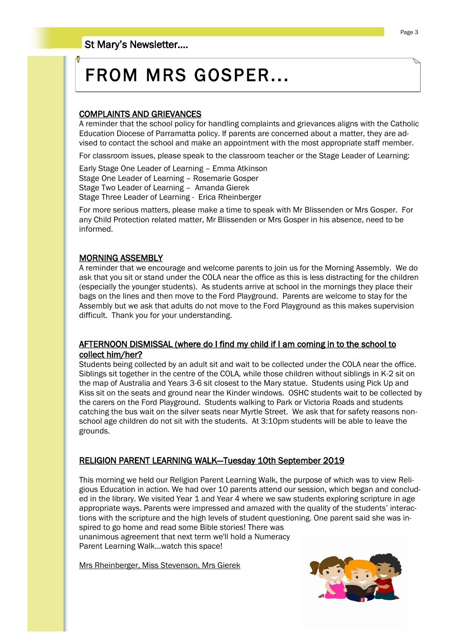# FROM MRS GOSPER...

## COMPLAINTS AND GRIEVANCES

A reminder that the school policy for handling complaints and grievances aligns with the Catholic Education Diocese of Parramatta policy. If parents are concerned about a matter, they are advised to contact the school and make an appointment with the most appropriate staff member.

For classroom issues, please speak to the classroom teacher or the Stage Leader of Learning:

Early Stage One Leader of Learning – Emma Atkinson Stage One Leader of Learning – Rosemarie Gosper Stage Two Leader of Learning – Amanda Gierek Stage Three Leader of Learning - Erica Rheinberger

For more serious matters, please make a time to speak with Mr Blissenden or Mrs Gosper. For any Child Protection related matter, Mr Blissenden or Mrs Gosper in his absence, need to be informed.

#### MORNING ASSEMBLY

A reminder that we encourage and welcome parents to join us for the Morning Assembly. We do ask that you sit or stand under the COLA near the office as this is less distracting for the children (especially the younger students). As students arrive at school in the mornings they place their bags on the lines and then move to the Ford Playground. Parents are welcome to stay for the Assembly but we ask that adults do not move to the Ford Playground as this makes supervision difficult. Thank you for your understanding.

### AFTERNOON DISMISSAL (where do I find my child if I am coming in to the school to collect him/her?

Students being collected by an adult sit and wait to be collected under the COLA near the office. Siblings sit together in the centre of the COLA, while those children without siblings in K-2 sit on the map of Australia and Years 3-6 sit closest to the Mary statue. Students using Pick Up and Kiss sit on the seats and ground near the Kinder windows. OSHC students wait to be collected by the carers on the Ford Playground. Students walking to Park or Victoria Roads and students catching the bus wait on the silver seats near Myrtle Street. We ask that for safety reasons nonschool age children do not sit with the students. At 3:10pm students will be able to leave the grounds.

### RELIGION PARENT LEARNING WALK—Tuesday 10th September 2019

This morning we held our Religion Parent Learning Walk, the purpose of which was to view Religious Education in action. We had over 10 parents attend our session, which began and concluded in the library. We visited Year 1 and Year 4 where we saw students exploring scripture in age appropriate ways. Parents were impressed and amazed with the quality of the students' interactions with the scripture and the high levels of student questioning. One parent said she was inspired to go home and read some Bible stories! There was unanimous agreement that next term we'll hold a Numeracy Parent Learning Walk...watch this space!

Mrs Rheinberger, Miss Stevenson, Mrs Gierek